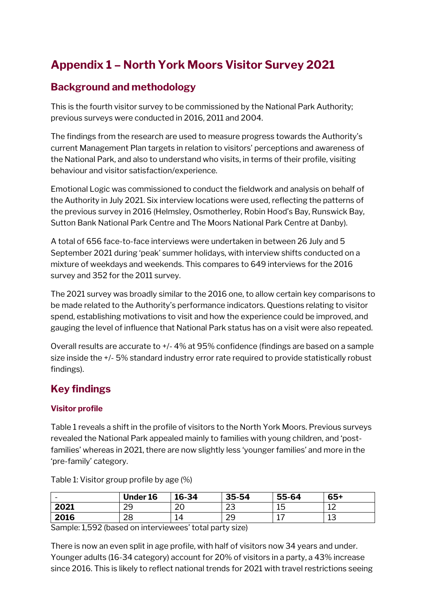# **Appendix 1 – North York Moors Visitor Survey 2021**

# **Background and methodology**

This is the fourth visitor survey to be commissioned by the National Park Authority; previous surveys were conducted in 2016, 2011 and 2004.

The findings from the research are used to measure progress towards the Authority's current Management Plan targets in relation to visitors' perceptions and awareness of the National Park, and also to understand who visits, in terms of their profile, visiting behaviour and visitor satisfaction/experience.

Emotional Logic was commissioned to conduct the fieldwork and analysis on behalf of the Authority in July 2021. Six interview locations were used, reflecting the patterns of the previous survey in 2016 (Helmsley, Osmotherley, Robin Hood's Bay, Runswick Bay, Sutton Bank National Park Centre and The Moors National Park Centre at Danby).

A total of 656 face-to-face interviews were undertaken in between 26 July and 5 September 2021 during 'peak' summer holidays, with interview shifts conducted on a mixture of weekdays and weekends. This compares to 649 interviews for the 2016 survey and 352 for the 2011 survey.

The 2021 survey was broadly similar to the 2016 one, to allow certain key comparisons to be made related to the Authority's performance indicators. Questions relating to visitor spend, establishing motivations to visit and how the experience could be improved, and gauging the level of influence that National Park status has on a visit were also repeated.

Overall results are accurate to +/- 4% at 95% confidence (findings are based on a sample size inside the +/- 5% standard industry error rate required to provide statistically robust findings).

# **Key findings**

#### **Visitor profile**

Table 1 reveals a shift in the profile of visitors to the North York Moors. Previous surveys revealed the National Park appealed mainly to families with young children, and 'postfamilies' whereas in 2021, there are now slightly less 'younger families' and more in the 'pre-family' category.

| $\overline{\phantom{0}}$ | <b>Under 16</b> | 16-34        | 35-54        | 55-64     | $65+$             |
|--------------------------|-----------------|--------------|--------------|-----------|-------------------|
| 2021                     | ാ<br>ر ے        | $\cap$<br>∠∪ | $\sim$<br>بے | 1 に<br>∸∽ | $\sim$<br>ᅩᄼ      |
| 2016                     | ിറ<br>20        | 14           | ാറ<br>ر ے    | <b>+</b>  | $1^{\circ}$<br>⊥◡ |

Table 1: Visitor group profile by age (%)

Sample: 1,592 (based on interviewees' total party size)

There is now an even split in age profile, with half of visitors now 34 years and under. Younger adults (16-34 category) account for 20% of visitors in a party, a 43% increase since 2016. This is likely to reflect national trends for 2021 with travel restrictions seeing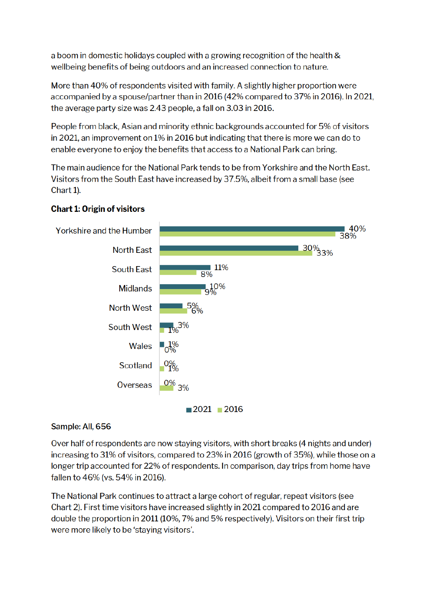a boom in domestic holidays coupled with a growing recognition of the health & wellbeing benefits of being outdoors and an increased connection to nature.

More than 40% of respondents visited with family. A slightly higher proportion were accompanied by a spouse/partner than in 2016 (42% compared to 37% in 2016). In 2021, the average party size was 2.43 people, a fall on 3.03 in 2016.

People from black, Asian and minority ethnic backgrounds accounted for 5% of visitors in 2021, an improvement on 1% in 2016 but indicating that there is more we can do to enable everyone to enjoy the benefits that access to a National Park can bring.

The main audience for the National Park tends to be from Yorkshire and the North East. Visitors from the South East have increased by 37.5%, albeit from a small base (see Chart 1).



## **Chart 1: Origin of visitors**

## Sample: All, 656

Over half of respondents are now staying visitors, with short breaks (4 nights and under) increasing to 31% of visitors, compared to 23% in 2016 (growth of 35%), while those on a longer trip accounted for 22% of respondents. In comparison, day trips from home have fallen to 46% (vs. 54% in 2016).

The National Park continues to attract a large cohort of regular, repeat visitors (see Chart 2). First time visitors have increased slightly in 2021 compared to 2016 and are double the proportion in 2011 (10%, 7% and 5% respectively). Visitors on their first trip were more likely to be 'staying visitors'.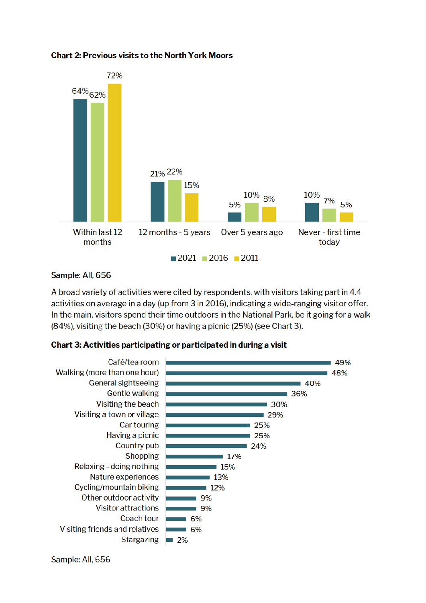

#### **Chart 2: Previous visits to the North York Moors**

#### Sample: All, 656

A broad variety of activities were cited by respondents, with visitors taking part in 4.4 activities on average in a day (up from 3 in 2016), indicating a wide-ranging visitor offer. In the main, visitors spend their time outdoors in the National Park, be it going for a walk (84%), visiting the beach (30%) or having a picnic (25%) (see Chart 3).

#### Chart 3: Activities participating or participated in during a visit



Sample: All, 656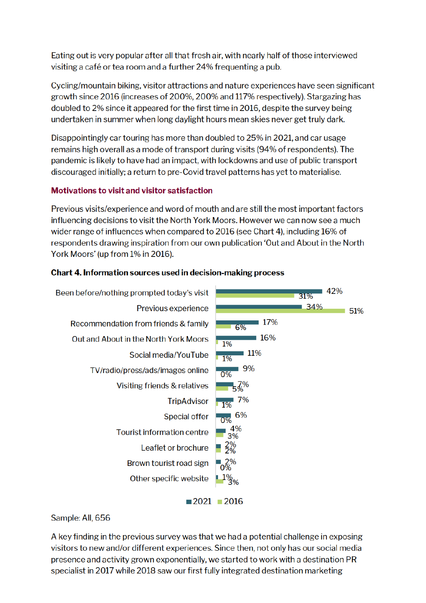Eating out is very popular after all that fresh air, with nearly half of those interviewed visiting a café or tea room and a further 24% frequenting a pub.

Cycling/mountain biking, visitor attractions and nature experiences have seen significant growth since 2016 (increases of 200%, 200% and 117% respectively). Stargazing has doubled to 2% since it appeared for the first time in 2016, despite the survey being undertaken in summer when long daylight hours mean skies never get truly dark.

Disappointingly car touring has more than doubled to 25% in 2021, and car usage remains high overall as a mode of transport during visits (94% of respondents). The pandemic is likely to have had an impact, with lockdowns and use of public transport discouraged initially; a return to pre-Covid travel patterns has yet to materialise.

### **Motivations to visit and visitor satisfaction**

Previous visits/experience and word of mouth and are still the most important factors influencing decisions to visit the North York Moors. However we can now see a much wider range of influences when compared to 2016 (see Chart 4), including 16% of respondents drawing inspiration from our own publication 'Out and About in the North York Moors' (up from 1% in 2016).

#### Chart 4. Information sources used in decision-making process



#### Sample: All, 656

A key finding in the previous survey was that we had a potential challenge in exposing visitors to new and/or different experiences. Since then, not only has our social media presence and activity grown exponentially, we started to work with a destination PR specialist in 2017 while 2018 saw our first fully integrated destination marketing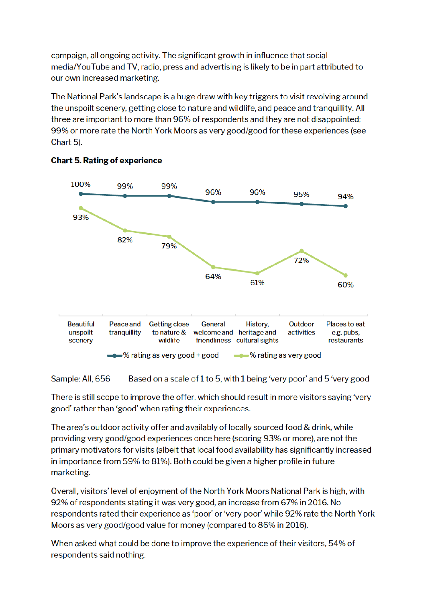campaign, all ongoing activity. The significant growth in influence that social media/YouTube and TV, radio, press and advertising is likely to be in part attributed to our own increased marketing.

The National Park's landscape is a huge draw with key triggers to visit revolving around the unspoilt scenery, getting close to nature and wildlife, and peace and tranquillity. All three are important to more than 96% of respondents and they are not disappointed; 99% or more rate the North York Moors as very good/good for these experiences (see Chart 5).



#### **Chart 5. Rating of experience**

Sample: All, 656 Based on a scale of 1 to 5, with 1 being 'very poor' and 5 'very good

There is still scope to improve the offer, which should result in more visitors saying 'very good' rather than 'good' when rating their experiences.

The area's outdoor activity offer and availably of locally sourced food & drink, while providing very good/good experiences once here (scoring 93% or more), are not the primary motivators for visits (albeit that local food availability has significantly increased in importance from 59% to 81%). Both could be given a higher profile in future marketing.

Overall, visitors' level of enjoyment of the North York Moors National Park is high, with 92% of respondents stating it was very good, an increase from 67% in 2016. No respondents rated their experience as 'poor' or 'very poor' while 92% rate the North York Moors as very good/good value for money (compared to 86% in 2016).

When asked what could be done to improve the experience of their visitors, 54% of respondents said nothing.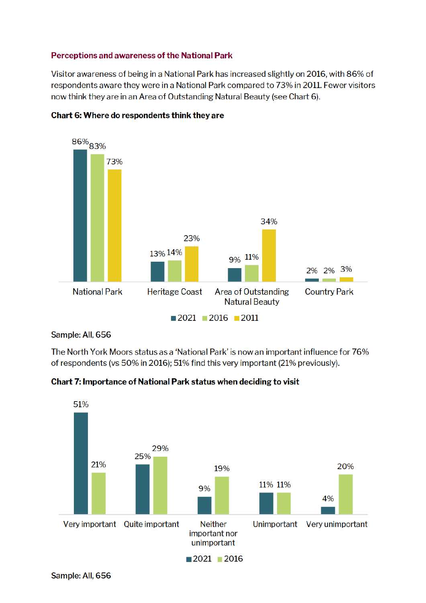#### Perceptions and awareness of the National Park

Visitor awareness of being in a National Park has increased slightly on 2016, with 86% of respondents aware they were in a National Park compared to 73% in 2011. Fewer visitors now think they are in an Area of Outstanding Natural Beauty (see Chart 6).



#### Chart 6: Where do respondents think they are

Sample: All, 656

The North York Moors status as a 'National Park' is now an important influence for 76% of respondents (vs 50% in 2016); 51% find this very important (21% previously).